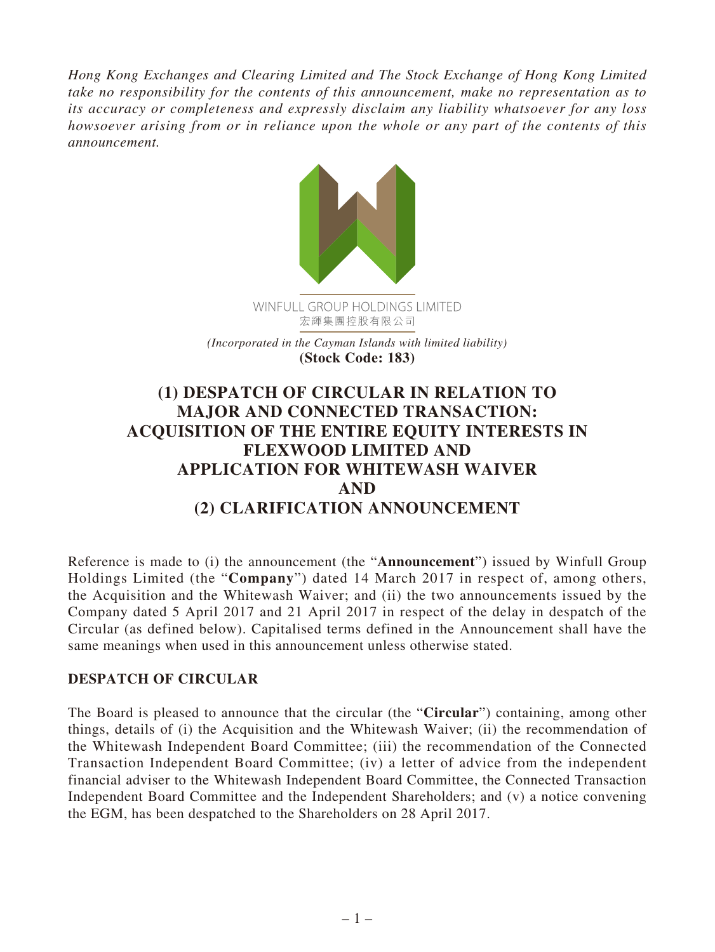*Hong Kong Exchanges and Clearing Limited and The Stock Exchange of Hong Kong Limited take no responsibility for the contents of this announcement, make no representation as to its accuracy or completeness and expressly disclaim any liability whatsoever for any loss howsoever arising from or in reliance upon the whole or any part of the contents of this announcement.*



*(Incorporated in the Cayman Islands with limited liability)* **(Stock Code: 183)**

## **(1) DESPATCH OF CIRCULAR IN RELATION TO MAJOR AND CONNECTED TRANSACTION: ACQUISITION OF THE ENTIRE EQUITY INTERESTS IN FLEXWOOD LIMITED AND APPLICATION FOR WHITEWASH WAIVER AND (2) CLARIFICATION ANNOUNCEMENT**

Reference is made to (i) the announcement (the "**Announcement**") issued by Winfull Group Holdings Limited (the "**Company**") dated 14 March 2017 in respect of, among others, the Acquisition and the Whitewash Waiver; and (ii) the two announcements issued by the Company dated 5 April 2017 and 21 April 2017 in respect of the delay in despatch of the Circular (as defined below). Capitalised terms defined in the Announcement shall have the same meanings when used in this announcement unless otherwise stated.

## **DESPATCH OF CIRCULAR**

The Board is pleased to announce that the circular (the "**Circular**") containing, among other things, details of (i) the Acquisition and the Whitewash Waiver; (ii) the recommendation of the Whitewash Independent Board Committee; (iii) the recommendation of the Connected Transaction Independent Board Committee; (iv) a letter of advice from the independent financial adviser to the Whitewash Independent Board Committee, the Connected Transaction Independent Board Committee and the Independent Shareholders; and (v) a notice convening the EGM, has been despatched to the Shareholders on 28 April 2017.